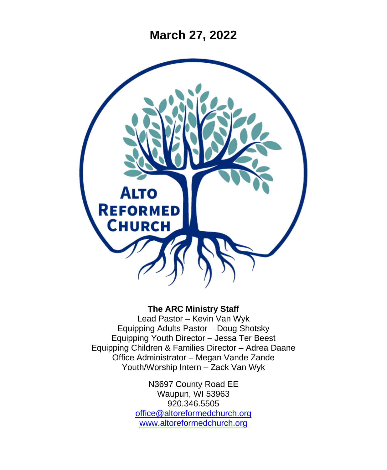**March 27, 2022**



### **The ARC Ministry Staff**

Lead Pastor – Kevin Van Wyk Equipping Adults Pastor – Doug Shotsky Equipping Youth Director – Jessa Ter Beest Equipping Children & Families Director – Adrea Daane Office Administrator – Megan Vande Zande Youth/Worship Intern – Zack Van Wyk

> N3697 County Road EE Waupun, WI 53963 920.346.5505 [office@altoreformedchurch.org](mailto:office@altoreformedchurch.org) [www.altoreformedchurch.org](http://www.altoreformedchurch.org/)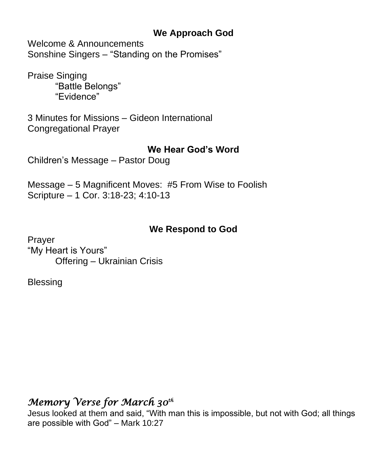## **We Approach God**

Welcome & Announcements Sonshine Singers – "Standing on the Promises"

Praise Singing "Battle Belongs" "Evidence"

3 Minutes for Missions – Gideon International Congregational Prayer

### **We Hear God's Word**

Children's Message – Pastor Doug

Message – 5 Magnificent Moves: #5 From Wise to Foolish Scripture – 1 Cor. 3:18-23; 4:10-13

## **We Respond to God**

Prayer "My Heart is Yours" Offering – Ukrainian Crisis

**Blessing** 

# *Memory Verse for March 30th*

Jesus looked at them and said, "With man this is impossible, but not with God; all things are possible with God" – Mark 10:27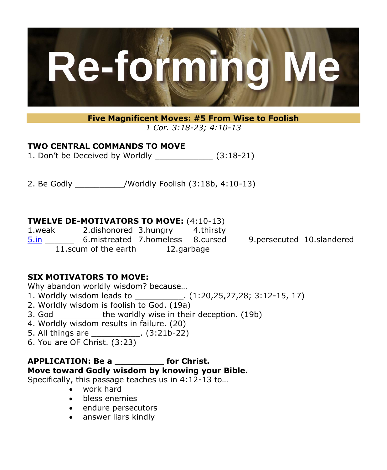

**Five Magnificent Moves: #5 From Wise to Foolish** *1 Cor. 3:18-23; 4:10-13*

### **TWO CENTRAL COMMANDS TO MOVE**

1. Don't be Deceived by Worldly \_\_\_\_\_\_\_\_\_\_\_\_ (3:18-21)

2. Be Godly \_\_\_\_\_\_\_\_\_\_/Worldly Foolish (3:18b, 4:10-13)

### **TWELVE DE-MOTIVATORS TO MOVE:** (4:10-13)

1.weak 2.dishonored 3.hungry 4.thirsty [5.in](https://nam12.safelinks.protection.outlook.com/?url=http%3A%2F%2F5.in%2F&data=04%7C01%7C%7C2a2248d7d34f4056643208da0db0375f%7C84df9e7fe9f640afb435aaaaaaaaaaaa%7C1%7C0%7C637837347745727841%7CUnknown%7CTWFpbGZsb3d8eyJWIjoiMC4wLjAwMDAiLCJQIjoiV2luMzIiLCJBTiI6Ik1haWwiLCJXVCI6Mn0%3D%7C3000&sdata=9JOjhNJ9l88TwKFv9%2F9tW927E9lBJlwuAZX8nED24vA%3D&reserved=0) \_\_\_\_\_\_ 6.mistreated 7.homeless 8.cursed 9.persecuted 10.slandered 11.scum of the earth 12.garbage

### **SIX MOTIVATORS TO MOVE:**

Why abandon worldly wisdom? because…

- 1. Worldly wisdom leads to  $(1:20,25,27,28; 3:12-15, 17)$
- 2. Worldly wisdom is foolish to God. (19a)
- 3. God \_\_\_\_\_\_\_\_\_ the worldly wise in their deception. (19b)
- 4. Worldly wisdom results in failure. (20)
- 5. All things are \_\_\_\_\_\_\_\_\_\_. (3:21b-22)
- 6. You are OF Christ. (3:23)

#### **APPLICATION: Be a \_\_\_\_\_\_\_\_\_ for Christ. Move toward Godly wisdom by knowing your Bible.**

Specifically, this passage teaches us in 4:12-13 to…

- work hard
- bless enemies
- endure persecutors
- answer liars kindly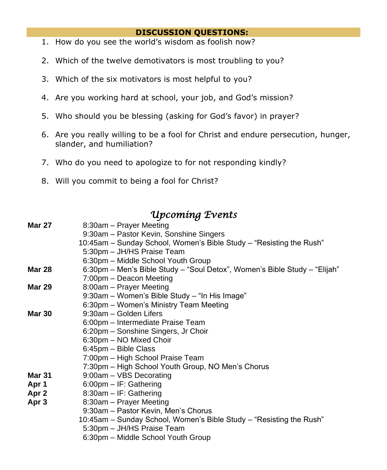#### **DISCUSSION QUESTIONS:**

- 1. How do you see the world's wisdom as foolish now?
- 2. Which of the twelve demotivators is most troubling to you?
- 3. Which of the six motivators is most helpful to you?
- 4. Are you working hard at school, your job, and God's mission?
- 5. Who should you be blessing (asking for God's favor) in prayer?
- 6. Are you really willing to be a fool for Christ and endure persecution, hunger, slander, and humiliation?
- 7. Who do you need to apologize to for not responding kindly?
- 8. Will you commit to being a fool for Christ?

## *Upcoming Events*

| <b>Mar 27</b>    | 8:30am - Prayer Meeting                                                   |
|------------------|---------------------------------------------------------------------------|
|                  | 9:30am - Pastor Kevin, Sonshine Singers                                   |
|                  | 10:45am – Sunday School, Women's Bible Study – "Resisting the Rush"       |
|                  | 5:30pm - JH/HS Praise Team                                                |
|                  | 6:30pm - Middle School Youth Group                                        |
| <b>Mar 28</b>    | 6:30pm - Men's Bible Study - "Soul Detox", Women's Bible Study - "Elijah" |
|                  | 7:00pm – Deacon Meeting                                                   |
| <b>Mar 29</b>    | 8:00am - Prayer Meeting                                                   |
|                  | 9:30am - Women's Bible Study - "In His Image"                             |
|                  | 6:30pm - Women's Ministry Team Meeting                                    |
| <b>Mar 30</b>    | 9:30am - Golden Lifers                                                    |
|                  | 6:00pm - Intermediate Praise Team                                         |
|                  | 6:20pm - Sonshine Singers, Jr Choir                                       |
|                  | 6:30pm - NO Mixed Choir                                                   |
|                  | 6:45pm - Bible Class                                                      |
|                  | 7:00pm – High School Praise Team                                          |
|                  | 7:30pm - High School Youth Group, NO Men's Chorus                         |
| <b>Mar 31</b>    | 9:00am - VBS Decorating                                                   |
| Apr 1            | 6:00pm - IF: Gathering                                                    |
| Apr 2            | 8:30am - IF: Gathering                                                    |
| Apr <sub>3</sub> | 8:30am - Prayer Meeting                                                   |
|                  | 9:30am - Pastor Kevin, Men's Chorus                                       |
|                  | 10:45am – Sunday School, Women's Bible Study – "Resisting the Rush"       |
|                  | 5:30pm - JH/HS Praise Team                                                |
|                  | 6:30pm - Middle School Youth Group                                        |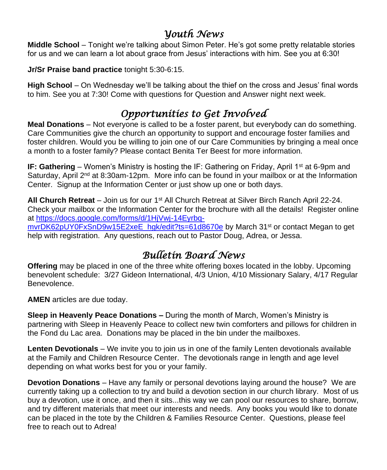## *Youth News*

**Middle School** – Tonight we're talking about Simon Peter. He's got some pretty relatable stories for us and we can learn a lot about grace from Jesus' interactions with him. See you at 6:30!

**Jr/Sr Praise band practice** tonight 5:30-6:15.

**High School** – On Wednesday we'll be talking about the thief on the cross and Jesus' final words to him. See you at 7:30! Come with questions for Question and Answer night next week.

# *Opportunities to Get Involved*

**Meal Donations** – Not everyone is called to be a foster parent, but everybody can do something. Care Communities give the church an opportunity to support and encourage foster families and foster children. Would you be willing to join one of our Care Communities by bringing a meal once a month to a foster family? Please contact Benita Ter Beest for more information.

**IF: Gathering** – Women's Ministry is hosting the IF: Gathering on Friday, April 1<sup>st</sup> at 6-9pm and Saturday, April  $2<sup>nd</sup>$  at 8:30am-12pm. More info can be found in your mailbox or at the Information Center. Signup at the Information Center or just show up one or both days.

**All Church Retreat** – Join us for our 1st All Church Retreat at Silver Birch Ranch April 22-24. Check your mailbox or the Information Center for the brochure with all the details! Register online at [https://docs.google.com/forms/d/1HjVwj-14Eyrbq](https://docs.google.com/forms/d/1HjVwj-14Eyrbq-mvrDK62pUY0FxSnD9w15E2xeE_hgk/edit?ts=61d8670e)[mvrDK62pUY0FxSnD9w15E2xeE\\_hgk/edit?ts=61d8670e](https://docs.google.com/forms/d/1HjVwj-14Eyrbq-mvrDK62pUY0FxSnD9w15E2xeE_hgk/edit?ts=61d8670e) by March 31<sup>st</sup> or contact Megan to get help with registration. Any questions, reach out to Pastor Doug, Adrea, or Jessa.

# *Bulletin Board News*

**Offering** may be placed in one of the three white offering boxes located in the lobby. Upcoming benevolent schedule: 3/27 Gideon International, 4/3 Union, 4/10 Missionary Salary, 4/17 Regular Benevolence.

**AMEN** articles are due today.

**Sleep in Heavenly Peace Donations –** During the month of March, Women's Ministry is partnering with Sleep in Heavenly Peace to collect new twin comforters and pillows for children in the Fond du Lac area. Donations may be placed in the bin under the mailboxes.

**Lenten Devotionals** – We invite you to join us in one of the family Lenten devotionals available at the Family and Children Resource Center. The devotionals range in length and age level depending on what works best for you or your family.

**Devotion Donations** – Have any family or personal devotions laying around the house? We are currently taking up a collection to try and build a devotion section in our church library. Most of us buy a devotion, use it once, and then it sits...this way we can pool our resources to share, borrow, and try different materials that meet our interests and needs. Any books you would like to donate can be placed in the tote by the Children & Families Resource Center. Questions, please feel free to reach out to Adrea!